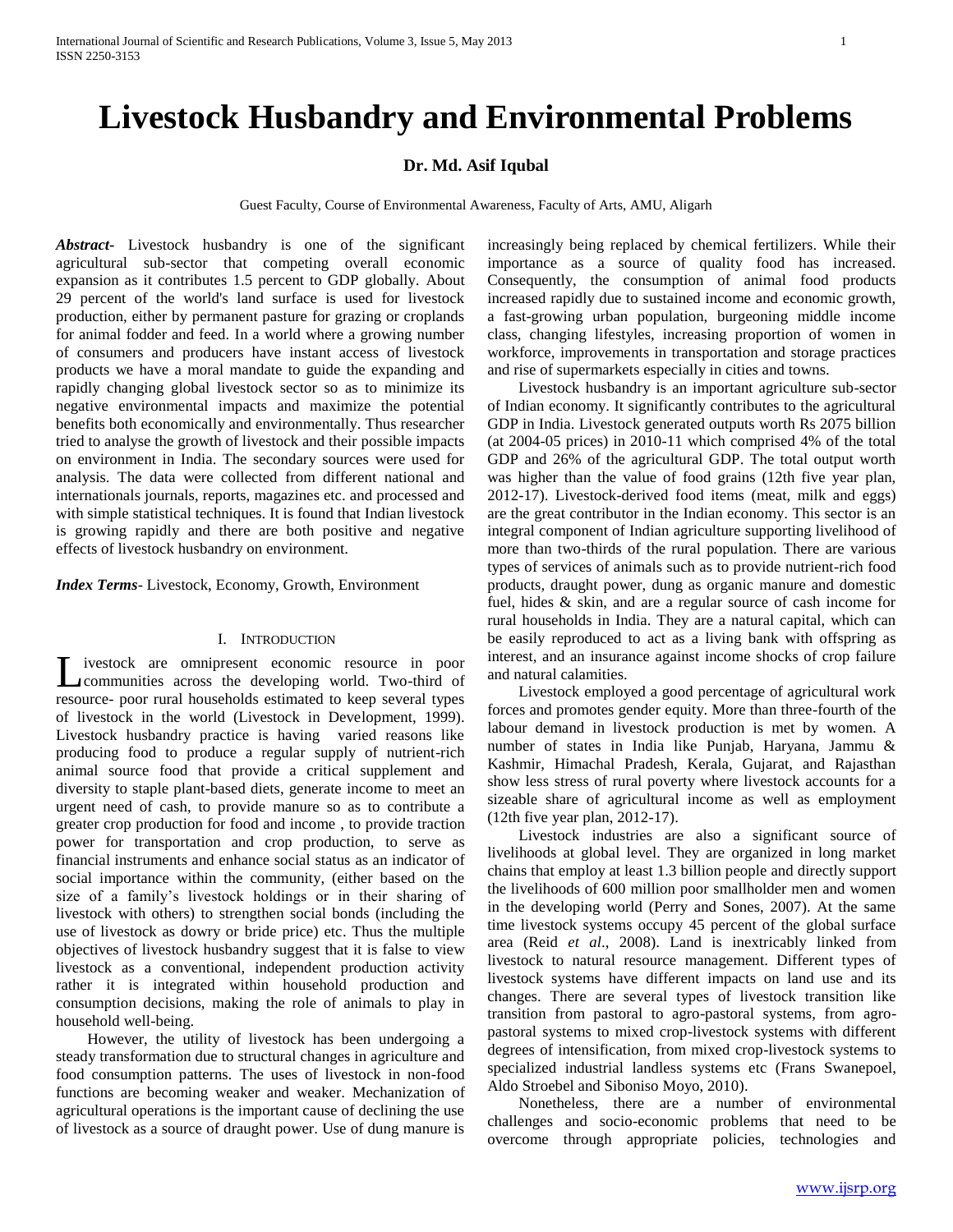# **Livestock Husbandry and Environmental Problems**

# **Dr. Md. Asif Iqubal**

Guest Faculty, Course of Environmental Awareness, Faculty of Arts, AMU, Aligarh

*Abstract***-** Livestock husbandry is one of the significant agricultural sub-sector that competing overall economic expansion as it contributes 1.5 percent to GDP globally. About 29 percent of the world's land surface is used for livestock production, either by permanent pasture for grazing or croplands for animal fodder and feed. In a world where a growing number of consumers and producers have instant access of livestock products we have a moral mandate to guide the expanding and rapidly changing global livestock sector so as to minimize its negative environmental impacts and maximize the potential benefits both economically and environmentally. Thus researcher tried to analyse the growth of livestock and their possible impacts on environment in India. The secondary sources were used for analysis. The data were collected from different national and internationals journals, reports, magazines etc. and processed and with simple statistical techniques. It is found that Indian livestock is growing rapidly and there are both positive and negative effects of livestock husbandry on environment.

*Index Terms*- Livestock, Economy, Growth, Environment

# I. INTRODUCTION

ivestock are omnipresent economic resource in poor Livestock are omnipresent economic resource in poor communities across the developing world. Two-third of resource- poor rural households estimated to keep several types of livestock in the world (Livestock in Development, 1999). Livestock husbandry practice is having varied reasons like producing food to produce a regular supply of nutrient-rich animal source food that provide a critical supplement and diversity to staple plant-based diets, generate income to meet an urgent need of cash, to provide manure so as to contribute a greater crop production for food and income , to provide traction power for transportation and crop production, to serve as financial instruments and enhance social status as an indicator of social importance within the community, (either based on the size of a family's livestock holdings or in their sharing of livestock with others) to strengthen social bonds (including the use of livestock as dowry or bride price) etc. Thus the multiple objectives of livestock husbandry suggest that it is false to view livestock as a conventional, independent production activity rather it is integrated within household production and consumption decisions, making the role of animals to play in household well-being.

 However, the utility of livestock has been undergoing a steady transformation due to structural changes in agriculture and food consumption patterns. The uses of livestock in non-food functions are becoming weaker and weaker. Mechanization of agricultural operations is the important cause of declining the use of livestock as a source of draught power. Use of dung manure is increasingly being replaced by chemical fertilizers. While their importance as a source of quality food has increased. Consequently, the consumption of animal food products increased rapidly due to sustained income and economic growth, a fast-growing urban population, burgeoning middle income class, changing lifestyles, increasing proportion of women in workforce, improvements in transportation and storage practices and rise of supermarkets especially in cities and towns.

 Livestock husbandry is an important agriculture sub-sector of Indian economy. It significantly contributes to the agricultural GDP in India. Livestock generated outputs worth Rs 2075 billion (at 2004-05 prices) in 2010-11 which comprised 4% of the total GDP and 26% of the agricultural GDP. The total output worth was higher than the value of food grains (12th five year plan, 2012-17). Livestock-derived food items (meat, milk and eggs) are the great contributor in the Indian economy. This sector is an integral component of Indian agriculture supporting livelihood of more than two-thirds of the rural population. There are various types of services of animals such as to provide nutrient-rich food products, draught power, dung as organic manure and domestic fuel, hides & skin, and are a regular source of cash income for rural households in India. They are a natural capital, which can be easily reproduced to act as a living bank with offspring as interest, and an insurance against income shocks of crop failure and natural calamities.

 Livestock employed a good percentage of agricultural work forces and promotes gender equity. More than three-fourth of the labour demand in livestock production is met by women. A number of states in India like Punjab, Haryana, Jammu & Kashmir, Himachal Pradesh, Kerala, Gujarat, and Rajasthan show less stress of rural poverty where livestock accounts for a sizeable share of agricultural income as well as employment (12th five year plan, 2012-17).

 Livestock industries are also a significant source of livelihoods at global level. They are organized in long market chains that employ at least 1.3 billion people and directly support the livelihoods of 600 million poor smallholder men and women in the developing world (Perry and Sones, 2007). At the same time livestock systems occupy 45 percent of the global surface area (Reid *et al*., 2008). Land is inextricably linked from livestock to natural resource management. Different types of livestock systems have different impacts on land use and its changes. There are several types of livestock transition like transition from pastoral to agro-pastoral systems, from agropastoral systems to mixed crop-livestock systems with different degrees of intensification, from mixed crop-livestock systems to specialized industrial landless systems etc (Frans Swanepoel, Aldo Stroebel and Siboniso Moyo, 2010).

 Nonetheless, there are a number of environmental challenges and socio-economic problems that need to be overcome through appropriate policies, technologies and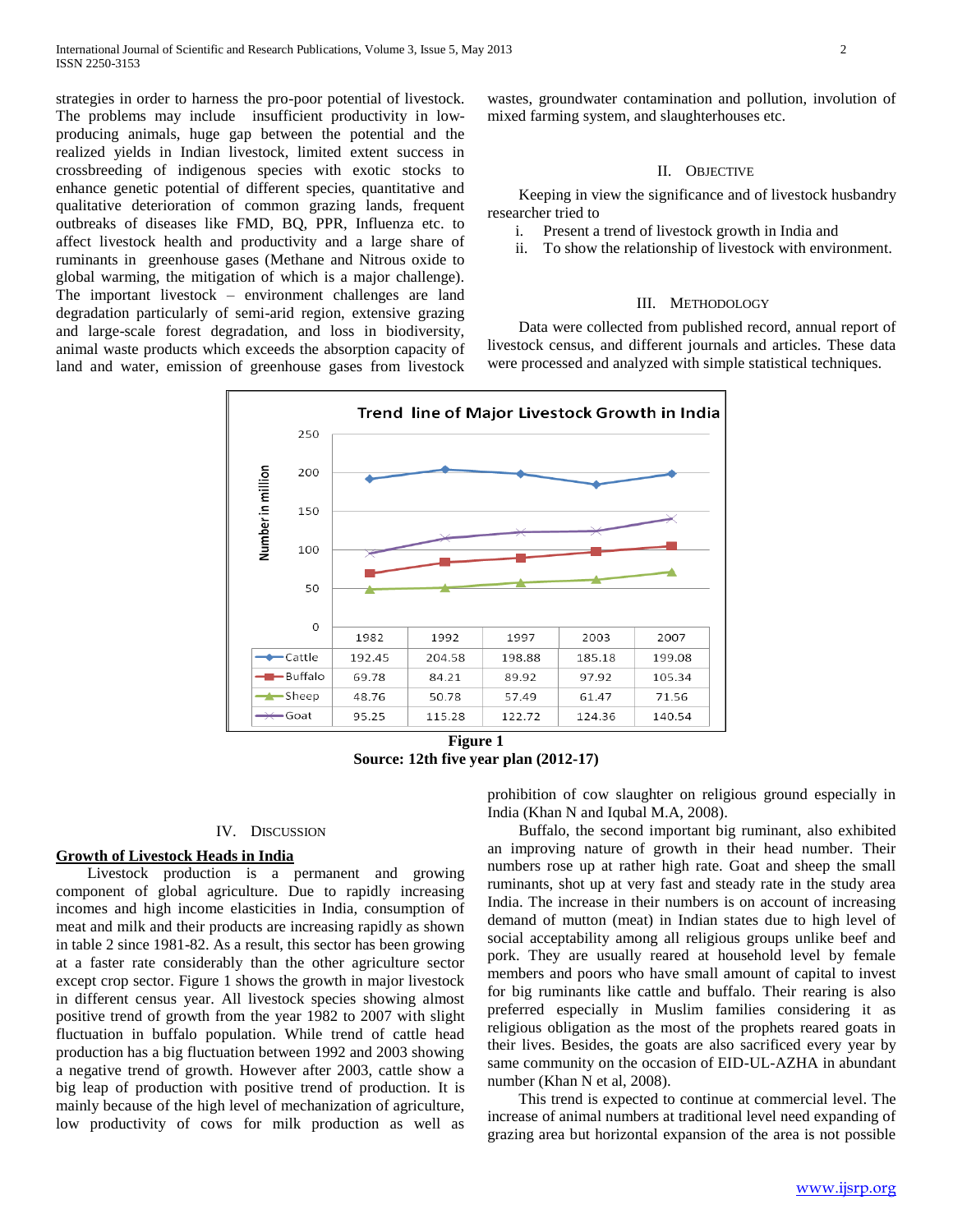strategies in order to harness the pro-poor potential of livestock. The problems may include insufficient productivity in lowproducing animals, huge gap between the potential and the realized yields in Indian livestock, limited extent success in crossbreeding of indigenous species with exotic stocks to enhance genetic potential of different species, quantitative and qualitative deterioration of common grazing lands, frequent outbreaks of diseases like FMD, BQ, PPR, Influenza etc. to affect livestock health and productivity and a large share of ruminants in greenhouse gases (Methane and Nitrous oxide to global warming, the mitigation of which is a major challenge). The important livestock – environment challenges are land degradation particularly of semi-arid region, extensive grazing and large-scale forest degradation, and loss in biodiversity, animal waste products which exceeds the absorption capacity of land and water, emission of greenhouse gases from livestock

wastes, groundwater contamination and pollution, involution of mixed farming system, and slaughterhouses etc.

# II. OBJECTIVE

 Keeping in view the significance and of livestock husbandry researcher tried to

- i. Present a trend of livestock growth in India and
- ii. To show the relationship of livestock with environment.

#### III. METHODOLOGY

 Data were collected from published record, annual report of livestock census, and different journals and articles. These data were processed and analyzed with simple statistical techniques.



**Figure 1 Source: 12th five year plan (2012-17)**

#### IV. DISCUSSION

# **Growth of Livestock Heads in India**

 Livestock production is a permanent and growing component of global agriculture. Due to rapidly increasing incomes and high income elasticities in India, consumption of meat and milk and their products are increasing rapidly as shown in table 2 since 1981-82. As a result, this sector has been growing at a faster rate considerably than the other agriculture sector except crop sector. Figure 1 shows the growth in major livestock in different census year. All livestock species showing almost positive trend of growth from the year 1982 to 2007 with slight fluctuation in buffalo population. While trend of cattle head production has a big fluctuation between 1992 and 2003 showing a negative trend of growth. However after 2003, cattle show a big leap of production with positive trend of production. It is mainly because of the high level of mechanization of agriculture, low productivity of cows for milk production as well as

prohibition of cow slaughter on religious ground especially in India (Khan N and Iqubal M.A, 2008).

 Buffalo, the second important big ruminant, also exhibited an improving nature of growth in their head number. Their numbers rose up at rather high rate. Goat and sheep the small ruminants, shot up at very fast and steady rate in the study area India. The increase in their numbers is on account of increasing demand of mutton (meat) in Indian states due to high level of social acceptability among all religious groups unlike beef and pork. They are usually reared at household level by female members and poors who have small amount of capital to invest for big ruminants like cattle and buffalo. Their rearing is also preferred especially in Muslim families considering it as religious obligation as the most of the prophets reared goats in their lives. Besides, the goats are also sacrificed every year by same community on the occasion of EID-UL-AZHA in abundant number (Khan N et al, 2008).

 This trend is expected to continue at commercial level. The increase of animal numbers at traditional level need expanding of grazing area but horizontal expansion of the area is not possible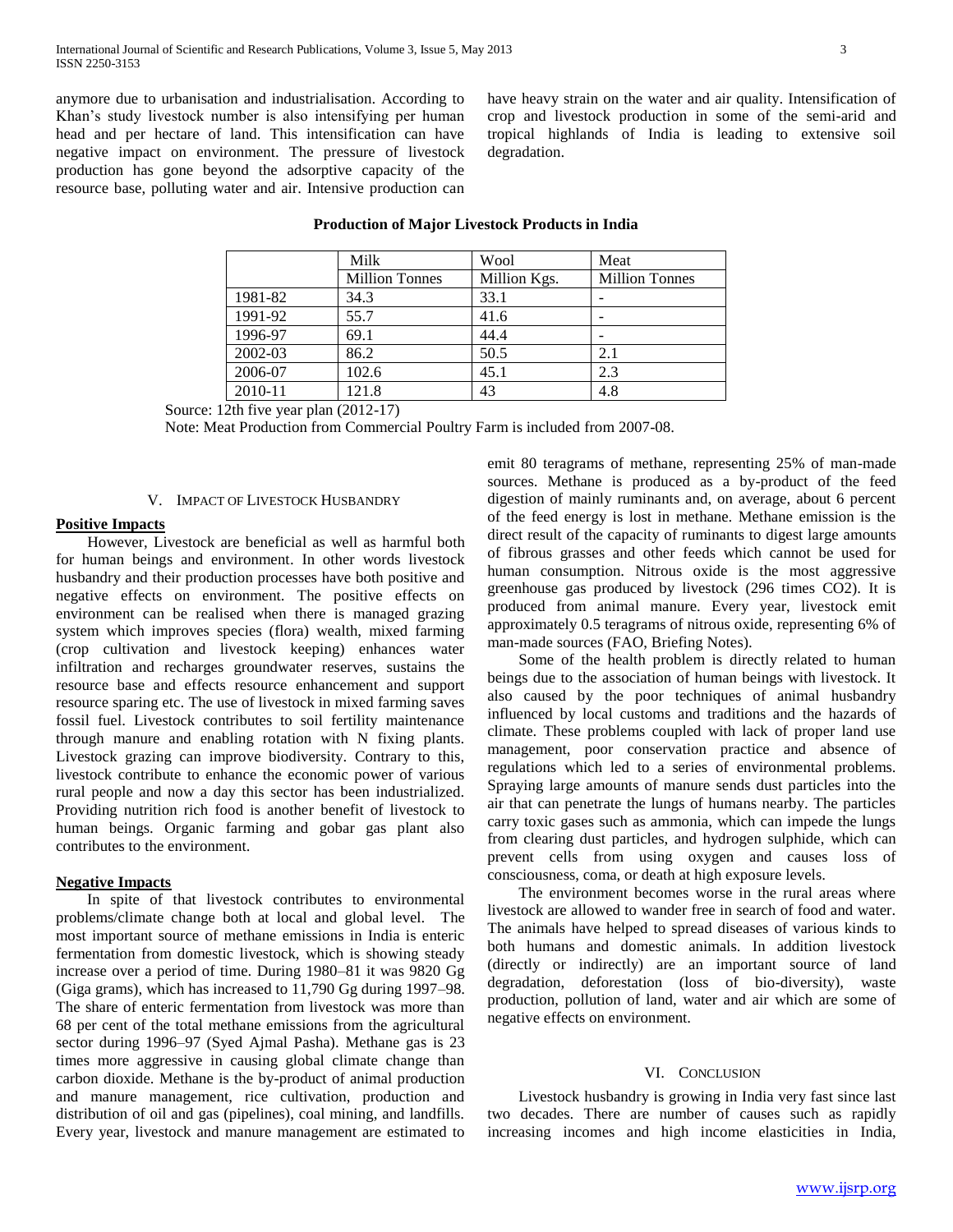anymore due to urbanisation and industrialisation. According to Khan's study livestock number is also intensifying per human head and per hectare of land. This intensification can have negative impact on environment. The pressure of livestock production has gone beyond the adsorptive capacity of the resource base, polluting water and air. Intensive production can have heavy strain on the water and air quality. Intensification of crop and livestock production in some of the semi-arid and tropical highlands of India is leading to extensive soil degradation.

|  |                                   | Milk                  | Wool         | Meat                  |  |
|--|-----------------------------------|-----------------------|--------------|-----------------------|--|
|  |                                   | <b>Million Tonnes</b> | Million Kgs. | <b>Million Tonnes</b> |  |
|  | 1981-82                           | 34.3                  | 33.1         |                       |  |
|  | 1991-92                           | 55.7                  | 41.6         |                       |  |
|  | 1996-97                           | 69.1                  | 44.4         |                       |  |
|  | 2002-03                           | 86.2                  | 50.5         | 2.1                   |  |
|  | 2006-07                           | 102.6                 | 45.1         | 2.3                   |  |
|  | 2010-11                           | 121.8                 | 43           | 4.8                   |  |
|  | $1245$ five year alon $(2012.17)$ |                       |              |                       |  |

# **Production of Major Livestock Products in India**

Source: 12th five year plan (2012-17)

Note: Meat Production from Commercial Poultry Farm is included from 2007-08.

### V. IMPACT OF LIVESTOCK HUSBANDRY

## **Positive Impacts**

 However, Livestock are beneficial as well as harmful both for human beings and environment. In other words livestock husbandry and their production processes have both positive and negative effects on environment. The positive effects on environment can be realised when there is managed grazing system which improves species (flora) wealth, mixed farming (crop cultivation and livestock keeping) enhances water infiltration and recharges groundwater reserves, sustains the resource base and effects resource enhancement and support resource sparing etc. The use of livestock in mixed farming saves fossil fuel. Livestock contributes to soil fertility maintenance through manure and enabling rotation with N fixing plants. Livestock grazing can improve biodiversity. Contrary to this, livestock contribute to enhance the economic power of various rural people and now a day this sector has been industrialized. Providing nutrition rich food is another benefit of livestock to human beings. Organic farming and gobar gas plant also contributes to the environment.

# **Negative Impacts**

 In spite of that livestock contributes to environmental problems/climate change both at local and global level. The most important source of methane emissions in India is enteric fermentation from domestic livestock, which is showing steady increase over a period of time. During 1980–81 it was 9820 Gg (Giga grams), which has increased to 11,790 Gg during 1997–98. The share of enteric fermentation from livestock was more than 68 per cent of the total methane emissions from the agricultural sector during 1996–97 (Syed Ajmal Pasha). Methane gas is 23 times more aggressive in causing global climate change than carbon dioxide. Methane is the by-product of animal production and manure management, rice cultivation, production and distribution of oil and gas (pipelines), coal mining, and landfills. Every year, livestock and manure management are estimated to emit 80 teragrams of methane, representing 25% of man-made sources. Methane is produced as a by-product of the feed digestion of mainly ruminants and, on average, about 6 percent of the feed energy is lost in methane. Methane emission is the direct result of the capacity of ruminants to digest large amounts of fibrous grasses and other feeds which cannot be used for human consumption. Nitrous oxide is the most aggressive greenhouse gas produced by livestock (296 times CO2). It is produced from animal manure. Every year, livestock emit approximately 0.5 teragrams of nitrous oxide, representing 6% of man-made sources (FAO, Briefing Notes).

 Some of the health problem is directly related to human beings due to the association of human beings with livestock. It also caused by the poor techniques of animal husbandry influenced by local customs and traditions and the hazards of climate. These problems coupled with lack of proper land use management, poor conservation practice and absence of regulations which led to a series of environmental problems. Spraying large amounts of manure sends dust particles into the air that can penetrate the lungs of humans nearby. The particles carry toxic gases such as ammonia, which can impede the lungs from clearing dust particles, and hydrogen sulphide, which can prevent cells from using oxygen and causes loss of consciousness, coma, or death at high exposure levels.

 The environment becomes worse in the rural areas where livestock are allowed to wander free in search of food and water. The animals have helped to spread diseases of various kinds to both humans and domestic animals. In addition livestock (directly or indirectly) are an important source of land degradation, deforestation (loss of bio-diversity), waste production, pollution of land, water and air which are some of negative effects on environment.

# VI. CONCLUSION

 Livestock husbandry is growing in India very fast since last two decades. There are number of causes such as rapidly increasing incomes and high income elasticities in India,